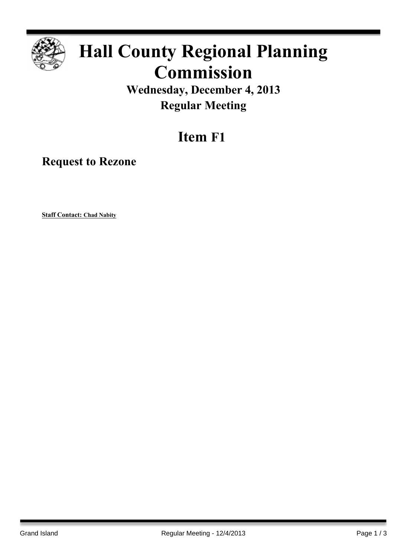

## **Hall County Regional Planning Commission**

**Wednesday, December 4, 2013 Regular Meeting**

## **Item F1**

**Request to Rezone**

**Staff Contact: Chad Nabity**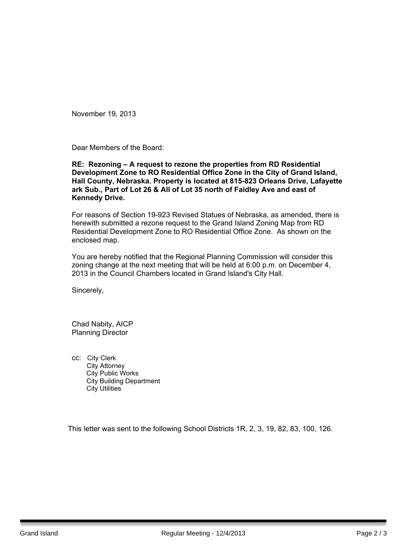November 19, 2013

Dear Members of the Board:

## **RE: Rezoning – A request to rezone the properties from RD Residential Development Zone to RO Residential Office Zone in the City of Grand Island, Hall County, Nebraska. Property is located at 815-823 Orleans Drive, Lafayette ark Sub., Part of Lot 26 & All of Lot 35 north of Faidley Ave and east of Kennedy Drive.**

For reasons of Section 19-923 Revised Statues of Nebraska, as amended, there is herewith submitted a rezone request to the Grand Island Zoning Map from RD Residential Development Zone to RO Residential Office Zone. As shown on the enclosed map.

You are hereby notified that the Regional Planning Commission will consider this zoning change at the next meeting that will be held at 6:00 p.m. on December 4, 2013 in the Council Chambers located in Grand Island's City Hall.

Sincerely,

Chad Nabity, AICP Planning Director

cc: City Clerk City Attorney City Public Works City Building Department City Utilities

This letter was sent to the following School Districts 1R, 2, 3, 19, 82, 83, 100, 126.